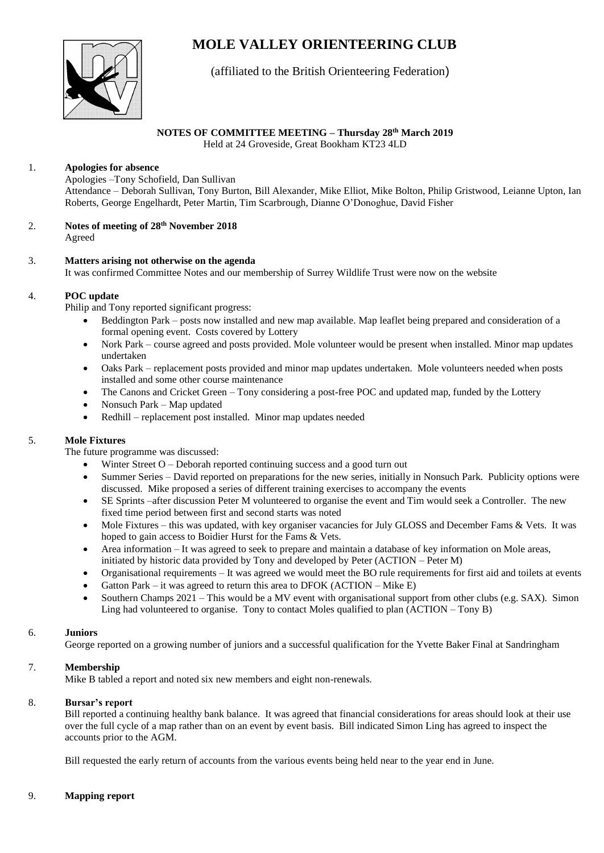# **MOLE VALLEY ORIENTEERING CLUB**



# (affiliated to the British Orienteering Federation)

# **NOTES OF COMMITTEE MEETING – Thursday 28 th March 2019**

Held at 24 Groveside, Great Bookham KT23 4LD

### 1. **Apologies for absence**

Apologies –Tony Schofield, Dan Sullivan Attendance – Deborah Sullivan, Tony Burton, Bill Alexander, Mike Elliot, Mike Bolton, Philip Gristwood, Leianne Upton, Ian Roberts, George Engelhardt, Peter Martin, Tim Scarbrough, Dianne O'Donoghue, David Fisher

- 2. **Notes of meeting of 28th November 2018** Agreed
- 3. **Matters arising not otherwise on the agenda** It was confirmed Committee Notes and our membership of Surrey Wildlife Trust were now on the website

#### 4. **POC update**

Philip and Tony reported significant progress:

- Beddington Park posts now installed and new map available. Map leaflet being prepared and consideration of a formal opening event. Costs covered by Lottery
- Nork Park course agreed and posts provided. Mole volunteer would be present when installed. Minor map updates undertaken
- Oaks Park replacement posts provided and minor map updates undertaken. Mole volunteers needed when posts installed and some other course maintenance
- The Canons and Cricket Green Tony considering a post-free POC and updated map, funded by the Lottery
- Nonsuch Park Map updated
- Redhill replacement post installed. Minor map updates needed

## 5. **Mole Fixtures**

The future programme was discussed:

- Winter Street  $O -$  Deborah reported continuing success and a good turn out
- Summer Series David reported on preparations for the new series, initially in Nonsuch Park. Publicity options were discussed. Mike proposed a series of different training exercises to accompany the events
- SE Sprints –after discussion Peter M volunteered to organise the event and Tim would seek a Controller. The new fixed time period between first and second starts was noted
- Mole Fixtures this was updated, with key organiser vacancies for July GLOSS and December Fams & Vets. It was hoped to gain access to Boidier Hurst for the Fams & Vets.
- Area information It was agreed to seek to prepare and maintain a database of key information on Mole areas, initiated by historic data provided by Tony and developed by Peter (ACTION – Peter M)
- Organisational requirements It was agreed we would meet the BO rule requirements for first aid and toilets at events
- Gatton Park it was agreed to return this area to DFOK  $(ACTION Mike E)$
- Southern Champs 2021 This would be a MV event with organisational support from other clubs (e.g. SAX). Simon Ling had volunteered to organise. Tony to contact Moles qualified to plan (ACTION – Tony B)

#### 6. **Juniors**

George reported on a growing number of juniors and a successful qualification for the Yvette Baker Final at Sandringham

## 7. **Membership**

Mike B tabled a report and noted six new members and eight non-renewals.

#### 8. **Bursar's report**

Bill reported a continuing healthy bank balance. It was agreed that financial considerations for areas should look at their use over the full cycle of a map rather than on an event by event basis. Bill indicated Simon Ling has agreed to inspect the accounts prior to the AGM.

Bill requested the early return of accounts from the various events being held near to the year end in June.

## 9. **Mapping report**